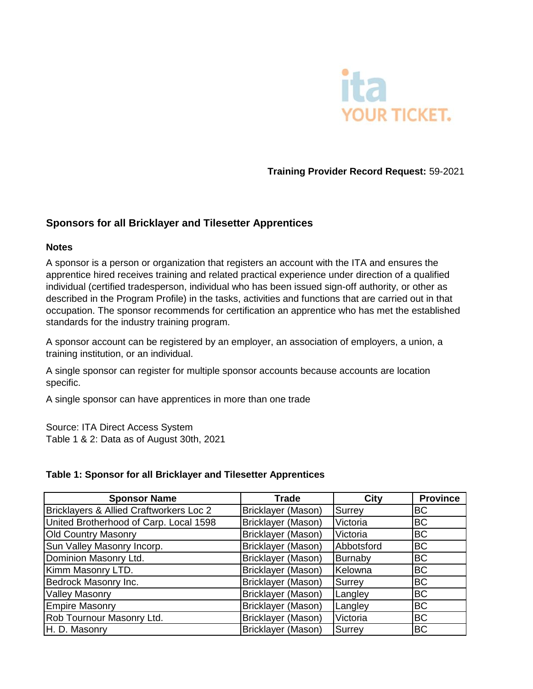

**Training Provider Record Request:** 59-2021

## **Sponsors for all Bricklayer and Tilesetter Apprentices**

## **Notes**

A sponsor is a person or organization that registers an account with the ITA and ensures the apprentice hired receives training and related practical experience under direction of a qualified individual (certified tradesperson, individual who has been issued sign-off authority, or other as described in the Program Profile) in the tasks, activities and functions that are carried out in that occupation. The sponsor recommends for certification an apprentice who has met the established standards for the industry training program.

A sponsor account can be registered by an employer, an association of employers, a union, a training institution, or an individual.

A single sponsor can register for multiple sponsor accounts because accounts are location specific.

A single sponsor can have apprentices in more than one trade

Source: ITA Direct Access System Table 1 & 2: Data as of August 30th, 2021

## **Table 1: Sponsor for all Bricklayer and Tilesetter Apprentices**

| <b>Sponsor Name</b>                     | <b>Trade</b>       | <b>City</b> | <b>Province</b> |
|-----------------------------------------|--------------------|-------------|-----------------|
| Bricklayers & Allied Craftworkers Loc 2 | Bricklayer (Mason) | Surrey      | <b>BC</b>       |
| United Brotherhood of Carp. Local 1598  | Bricklayer (Mason) | Victoria    | <b>BC</b>       |
| <b>Old Country Masonry</b>              | Bricklayer (Mason) | Victoria    | <b>BC</b>       |
| Sun Valley Masonry Incorp.              | Bricklayer (Mason) | Abbotsford  | <b>BC</b>       |
| Dominion Masonry Ltd.                   | Bricklayer (Mason) | Burnaby     | <b>BC</b>       |
| Kimm Masonry LTD.                       | Bricklayer (Mason) | Kelowna     | <b>BC</b>       |
| Bedrock Masonry Inc.                    | Bricklayer (Mason) | Surrey      | <b>BC</b>       |
| <b>Valley Masonry</b>                   | Bricklayer (Mason) | Langley     | <b>BC</b>       |
| <b>Empire Masonry</b>                   | Bricklayer (Mason) | Langley     | <b>BC</b>       |
| Rob Tournour Masonry Ltd.               | Bricklayer (Mason) | Victoria    | <b>BC</b>       |
| H. D. Masonry                           | Bricklayer (Mason) | Surrey      | <b>BC</b>       |